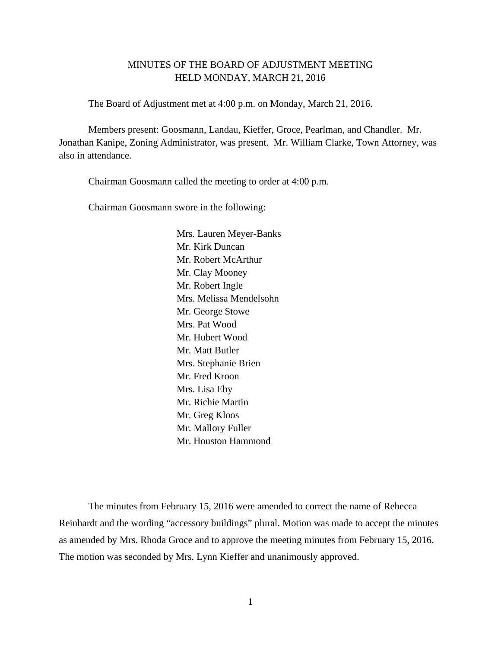# MINUTES OF THE BOARD OF ADJUSTMENT MEETING HELD MONDAY, MARCH 21, 2016

The Board of Adjustment met at 4:00 p.m. on Monday, March 21, 2016.

Members present: Goosmann, Landau, Kieffer, Groce, Pearlman, and Chandler. Mr. Jonathan Kanipe, Zoning Administrator, was present. Mr. William Clarke, Town Attorney, was also in attendance.

Chairman Goosmann called the meeting to order at 4:00 p.m.

Chairman Goosmann swore in the following:

 Mrs. Lauren Meyer-Banks Mr. Kirk Duncan Mr. Robert McArthur Mr. Clay Mooney Mr. Robert Ingle Mrs. Melissa Mendelsohn Mr. George Stowe Mrs. Pat Wood Mr. Hubert Wood Mr. Matt Butler Mrs. Stephanie Brien Mr. Fred Kroon Mrs. Lisa Eby Mr. Richie Martin Mr. Greg Kloos Mr. Mallory Fuller Mr. Houston Hammond

The minutes from February 15, 2016 were amended to correct the name of Rebecca Reinhardt and the wording "accessory buildings" plural. Motion was made to accept the minutes as amended by Mrs. Rhoda Groce and to approve the meeting minutes from February 15, 2016. The motion was seconded by Mrs. Lynn Kieffer and unanimously approved.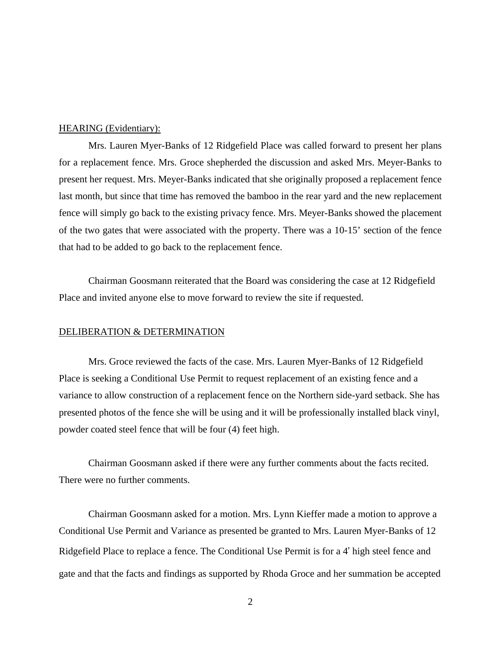Mrs. Lauren Myer-Banks of 12 Ridgefield Place was called forward to present her plans for a replacement fence. Mrs. Groce shepherded the discussion and asked Mrs. Meyer-Banks to present her request. Mrs. Meyer-Banks indicated that she originally proposed a replacement fence last month, but since that time has removed the bamboo in the rear yard and the new replacement fence will simply go back to the existing privacy fence. Mrs. Meyer-Banks showed the placement of the two gates that were associated with the property. There was a 10-15' section of the fence that had to be added to go back to the replacement fence.

 Chairman Goosmann reiterated that the Board was considering the case at 12 Ridgefield Place and invited anyone else to move forward to review the site if requested.

#### DELIBERATION & DETERMINATION

 Mrs. Groce reviewed the facts of the case. Mrs. Lauren Myer-Banks of 12 Ridgefield Place is seeking a Conditional Use Permit to request replacement of an existing fence and a variance to allow construction of a replacement fence on the Northern side-yard setback. She has presented photos of the fence she will be using and it will be professionally installed black vinyl, powder coated steel fence that will be four (4) feet high.

 Chairman Goosmann asked if there were any further comments about the facts recited. There were no further comments.

Chairman Goosmann asked for a motion. Mrs. Lynn Kieffer made a motion to approve a Conditional Use Permit and Variance as presented be granted to Mrs. Lauren Myer-Banks of 12 Ridgefield Place to replace a fence. The Conditional Use Permit is for a 4' high steel fence and gate and that the facts and findings as supported by Rhoda Groce and her summation be accepted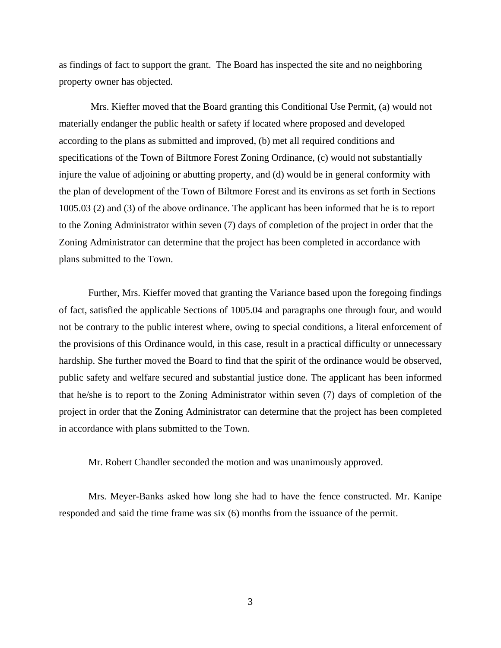as findings of fact to support the grant. The Board has inspected the site and no neighboring property owner has objected.

 Mrs. Kieffer moved that the Board granting this Conditional Use Permit, (a) would not materially endanger the public health or safety if located where proposed and developed according to the plans as submitted and improved, (b) met all required conditions and specifications of the Town of Biltmore Forest Zoning Ordinance, (c) would not substantially injure the value of adjoining or abutting property, and (d) would be in general conformity with the plan of development of the Town of Biltmore Forest and its environs as set forth in Sections 1005.03 (2) and (3) of the above ordinance. The applicant has been informed that he is to report to the Zoning Administrator within seven (7) days of completion of the project in order that the Zoning Administrator can determine that the project has been completed in accordance with plans submitted to the Town.

Further, Mrs. Kieffer moved that granting the Variance based upon the foregoing findings of fact, satisfied the applicable Sections of 1005.04 and paragraphs one through four, and would not be contrary to the public interest where, owing to special conditions, a literal enforcement of the provisions of this Ordinance would, in this case, result in a practical difficulty or unnecessary hardship. She further moved the Board to find that the spirit of the ordinance would be observed, public safety and welfare secured and substantial justice done. The applicant has been informed that he/she is to report to the Zoning Administrator within seven (7) days of completion of the project in order that the Zoning Administrator can determine that the project has been completed in accordance with plans submitted to the Town.

Mr. Robert Chandler seconded the motion and was unanimously approved.

Mrs. Meyer-Banks asked how long she had to have the fence constructed. Mr. Kanipe responded and said the time frame was six (6) months from the issuance of the permit.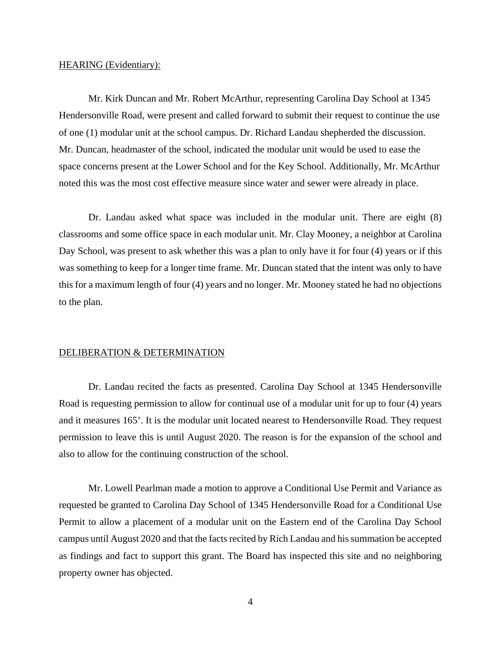Mr. Kirk Duncan and Mr. Robert McArthur, representing Carolina Day School at 1345 Hendersonville Road, were present and called forward to submit their request to continue the use of one (1) modular unit at the school campus. Dr. Richard Landau shepherded the discussion. Mr. Duncan, headmaster of the school, indicated the modular unit would be used to ease the space concerns present at the Lower School and for the Key School. Additionally, Mr. McArthur noted this was the most cost effective measure since water and sewer were already in place.

 Dr. Landau asked what space was included in the modular unit. There are eight (8) classrooms and some office space in each modular unit. Mr. Clay Mooney, a neighbor at Carolina Day School, was present to ask whether this was a plan to only have it for four (4) years or if this was something to keep for a longer time frame. Mr. Duncan stated that the intent was only to have this for a maximum length of four (4) years and no longer. Mr. Mooney stated he had no objections to the plan.

# DELIBERATION & DETERMINATION

 Dr. Landau recited the facts as presented. Carolina Day School at 1345 Hendersonville Road is requesting permission to allow for continual use of a modular unit for up to four (4) years and it measures 165'. It is the modular unit located nearest to Hendersonville Road. They request permission to leave this is until August 2020. The reason is for the expansion of the school and also to allow for the continuing construction of the school.

 Mr. Lowell Pearlman made a motion to approve a Conditional Use Permit and Variance as requested be granted to Carolina Day School of 1345 Hendersonville Road for a Conditional Use Permit to allow a placement of a modular unit on the Eastern end of the Carolina Day School campus until August 2020 and that the facts recited by Rich Landau and his summation be accepted as findings and fact to support this grant. The Board has inspected this site and no neighboring property owner has objected.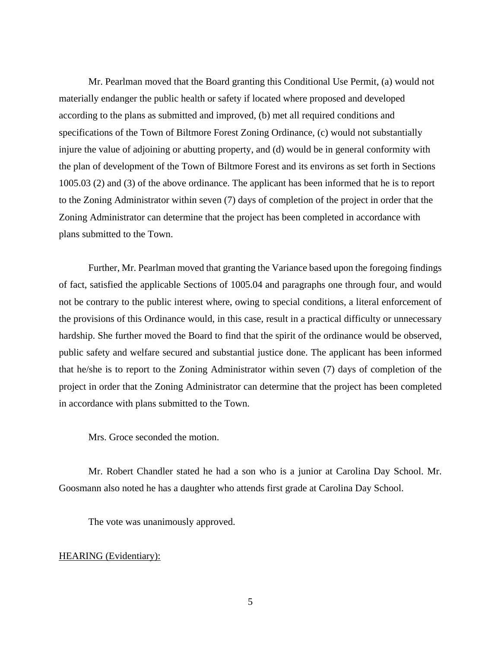Mr. Pearlman moved that the Board granting this Conditional Use Permit, (a) would not materially endanger the public health or safety if located where proposed and developed according to the plans as submitted and improved, (b) met all required conditions and specifications of the Town of Biltmore Forest Zoning Ordinance, (c) would not substantially injure the value of adjoining or abutting property, and (d) would be in general conformity with the plan of development of the Town of Biltmore Forest and its environs as set forth in Sections 1005.03 (2) and (3) of the above ordinance. The applicant has been informed that he is to report to the Zoning Administrator within seven (7) days of completion of the project in order that the Zoning Administrator can determine that the project has been completed in accordance with plans submitted to the Town.

Further, Mr. Pearlman moved that granting the Variance based upon the foregoing findings of fact, satisfied the applicable Sections of 1005.04 and paragraphs one through four, and would not be contrary to the public interest where, owing to special conditions, a literal enforcement of the provisions of this Ordinance would, in this case, result in a practical difficulty or unnecessary hardship. She further moved the Board to find that the spirit of the ordinance would be observed, public safety and welfare secured and substantial justice done. The applicant has been informed that he/she is to report to the Zoning Administrator within seven (7) days of completion of the project in order that the Zoning Administrator can determine that the project has been completed in accordance with plans submitted to the Town.

Mrs. Groce seconded the motion.

Mr. Robert Chandler stated he had a son who is a junior at Carolina Day School. Mr. Goosmann also noted he has a daughter who attends first grade at Carolina Day School.

The vote was unanimously approved.

# HEARING (Evidentiary):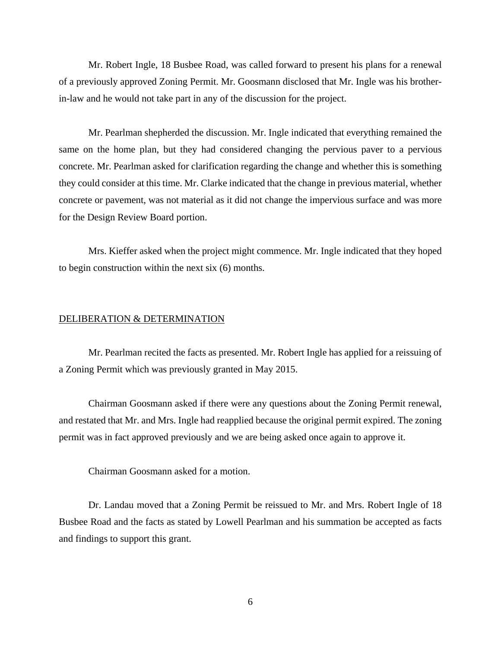Mr. Robert Ingle, 18 Busbee Road, was called forward to present his plans for a renewal of a previously approved Zoning Permit. Mr. Goosmann disclosed that Mr. Ingle was his brotherin-law and he would not take part in any of the discussion for the project.

Mr. Pearlman shepherded the discussion. Mr. Ingle indicated that everything remained the same on the home plan, but they had considered changing the pervious paver to a pervious concrete. Mr. Pearlman asked for clarification regarding the change and whether this is something they could consider at this time. Mr. Clarke indicated that the change in previous material, whether concrete or pavement, was not material as it did not change the impervious surface and was more for the Design Review Board portion.

Mrs. Kieffer asked when the project might commence. Mr. Ingle indicated that they hoped to begin construction within the next six (6) months.

# DELIBERATION & DETERMINATION

Mr. Pearlman recited the facts as presented. Mr. Robert Ingle has applied for a reissuing of a Zoning Permit which was previously granted in May 2015.

Chairman Goosmann asked if there were any questions about the Zoning Permit renewal, and restated that Mr. and Mrs. Ingle had reapplied because the original permit expired. The zoning permit was in fact approved previously and we are being asked once again to approve it.

Chairman Goosmann asked for a motion.

Dr. Landau moved that a Zoning Permit be reissued to Mr. and Mrs. Robert Ingle of 18 Busbee Road and the facts as stated by Lowell Pearlman and his summation be accepted as facts and findings to support this grant.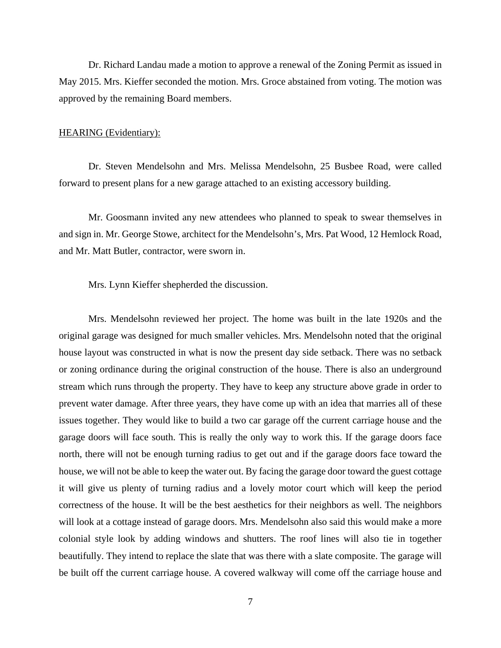Dr. Richard Landau made a motion to approve a renewal of the Zoning Permit as issued in May 2015. Mrs. Kieffer seconded the motion. Mrs. Groce abstained from voting. The motion was approved by the remaining Board members.

### HEARING (Evidentiary):

Dr. Steven Mendelsohn and Mrs. Melissa Mendelsohn, 25 Busbee Road, were called forward to present plans for a new garage attached to an existing accessory building.

Mr. Goosmann invited any new attendees who planned to speak to swear themselves in and sign in. Mr. George Stowe, architect for the Mendelsohn's, Mrs. Pat Wood, 12 Hemlock Road, and Mr. Matt Butler, contractor, were sworn in.

Mrs. Lynn Kieffer shepherded the discussion.

Mrs. Mendelsohn reviewed her project. The home was built in the late 1920s and the original garage was designed for much smaller vehicles. Mrs. Mendelsohn noted that the original house layout was constructed in what is now the present day side setback. There was no setback or zoning ordinance during the original construction of the house. There is also an underground stream which runs through the property. They have to keep any structure above grade in order to prevent water damage. After three years, they have come up with an idea that marries all of these issues together. They would like to build a two car garage off the current carriage house and the garage doors will face south. This is really the only way to work this. If the garage doors face north, there will not be enough turning radius to get out and if the garage doors face toward the house, we will not be able to keep the water out. By facing the garage door toward the guest cottage it will give us plenty of turning radius and a lovely motor court which will keep the period correctness of the house. It will be the best aesthetics for their neighbors as well. The neighbors will look at a cottage instead of garage doors. Mrs. Mendelsohn also said this would make a more colonial style look by adding windows and shutters. The roof lines will also tie in together beautifully. They intend to replace the slate that was there with a slate composite. The garage will be built off the current carriage house. A covered walkway will come off the carriage house and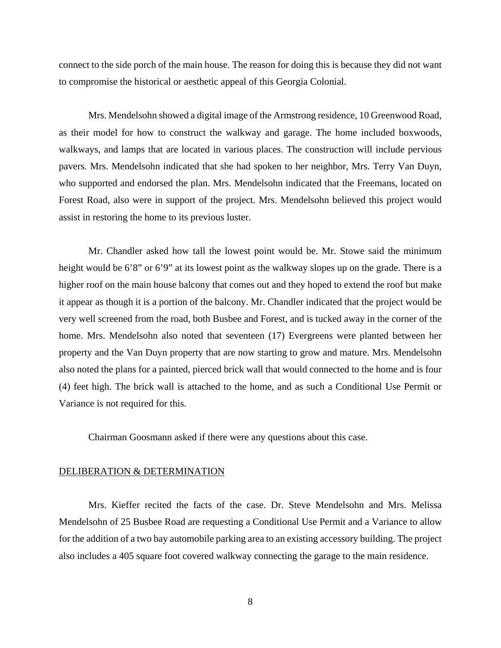connect to the side porch of the main house. The reason for doing this is because they did not want to compromise the historical or aesthetic appeal of this Georgia Colonial.

Mrs. Mendelsohn showed a digital image of the Armstrong residence, 10 Greenwood Road, as their model for how to construct the walkway and garage. The home included boxwoods, walkways, and lamps that are located in various places. The construction will include pervious pavers. Mrs. Mendelsohn indicated that she had spoken to her neighbor, Mrs. Terry Van Duyn, who supported and endorsed the plan. Mrs. Mendelsohn indicated that the Freemans, located on Forest Road, also were in support of the project. Mrs. Mendelsohn believed this project would assist in restoring the home to its previous luster.

Mr. Chandler asked how tall the lowest point would be. Mr. Stowe said the minimum height would be 6'8" or 6'9" at its lowest point as the walkway slopes up on the grade. There is a higher roof on the main house balcony that comes out and they hoped to extend the roof but make it appear as though it is a portion of the balcony. Mr. Chandler indicated that the project would be very well screened from the road, both Busbee and Forest, and is tucked away in the corner of the home. Mrs. Mendelsohn also noted that seventeen (17) Evergreens were planted between her property and the Van Duyn property that are now starting to grow and mature. Mrs. Mendelsohn also noted the plans for a painted, pierced brick wall that would connected to the home and is four (4) feet high. The brick wall is attached to the home, and as such a Conditional Use Permit or Variance is not required for this.

Chairman Goosmann asked if there were any questions about this case.

#### DELIBERATION & DETERMINATION

Mrs. Kieffer recited the facts of the case. Dr. Steve Mendelsohn and Mrs. Melissa Mendelsohn of 25 Busbee Road are requesting a Conditional Use Permit and a Variance to allow for the addition of a two bay automobile parking area to an existing accessory building. The project also includes a 405 square foot covered walkway connecting the garage to the main residence.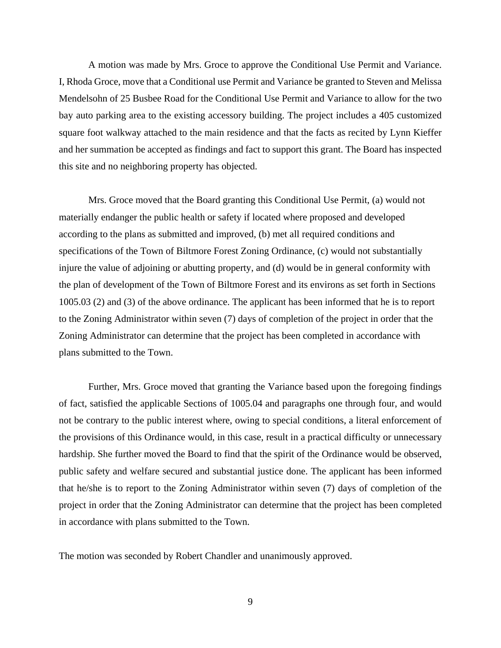A motion was made by Mrs. Groce to approve the Conditional Use Permit and Variance. I, Rhoda Groce, move that a Conditional use Permit and Variance be granted to Steven and Melissa Mendelsohn of 25 Busbee Road for the Conditional Use Permit and Variance to allow for the two bay auto parking area to the existing accessory building. The project includes a 405 customized square foot walkway attached to the main residence and that the facts as recited by Lynn Kieffer and her summation be accepted as findings and fact to support this grant. The Board has inspected this site and no neighboring property has objected.

Mrs. Groce moved that the Board granting this Conditional Use Permit, (a) would not materially endanger the public health or safety if located where proposed and developed according to the plans as submitted and improved, (b) met all required conditions and specifications of the Town of Biltmore Forest Zoning Ordinance, (c) would not substantially injure the value of adjoining or abutting property, and (d) would be in general conformity with the plan of development of the Town of Biltmore Forest and its environs as set forth in Sections 1005.03 (2) and (3) of the above ordinance. The applicant has been informed that he is to report to the Zoning Administrator within seven (7) days of completion of the project in order that the Zoning Administrator can determine that the project has been completed in accordance with plans submitted to the Town.

Further, Mrs. Groce moved that granting the Variance based upon the foregoing findings of fact, satisfied the applicable Sections of 1005.04 and paragraphs one through four, and would not be contrary to the public interest where, owing to special conditions, a literal enforcement of the provisions of this Ordinance would, in this case, result in a practical difficulty or unnecessary hardship. She further moved the Board to find that the spirit of the Ordinance would be observed, public safety and welfare secured and substantial justice done. The applicant has been informed that he/she is to report to the Zoning Administrator within seven (7) days of completion of the project in order that the Zoning Administrator can determine that the project has been completed in accordance with plans submitted to the Town.

The motion was seconded by Robert Chandler and unanimously approved.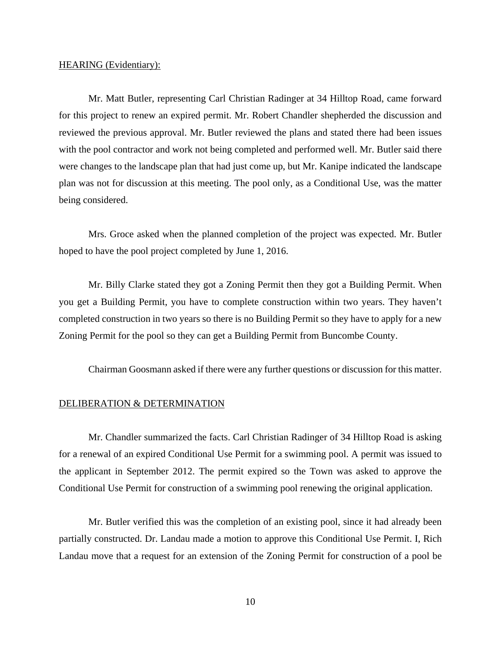Mr. Matt Butler, representing Carl Christian Radinger at 34 Hilltop Road, came forward for this project to renew an expired permit. Mr. Robert Chandler shepherded the discussion and reviewed the previous approval. Mr. Butler reviewed the plans and stated there had been issues with the pool contractor and work not being completed and performed well. Mr. Butler said there were changes to the landscape plan that had just come up, but Mr. Kanipe indicated the landscape plan was not for discussion at this meeting. The pool only, as a Conditional Use, was the matter being considered.

Mrs. Groce asked when the planned completion of the project was expected. Mr. Butler hoped to have the pool project completed by June 1, 2016.

Mr. Billy Clarke stated they got a Zoning Permit then they got a Building Permit. When you get a Building Permit, you have to complete construction within two years. They haven't completed construction in two years so there is no Building Permit so they have to apply for a new Zoning Permit for the pool so they can get a Building Permit from Buncombe County.

Chairman Goosmann asked if there were any further questions or discussion for this matter.

#### DELIBERATION & DETERMINATION

Mr. Chandler summarized the facts. Carl Christian Radinger of 34 Hilltop Road is asking for a renewal of an expired Conditional Use Permit for a swimming pool. A permit was issued to the applicant in September 2012. The permit expired so the Town was asked to approve the Conditional Use Permit for construction of a swimming pool renewing the original application.

Mr. Butler verified this was the completion of an existing pool, since it had already been partially constructed. Dr. Landau made a motion to approve this Conditional Use Permit. I, Rich Landau move that a request for an extension of the Zoning Permit for construction of a pool be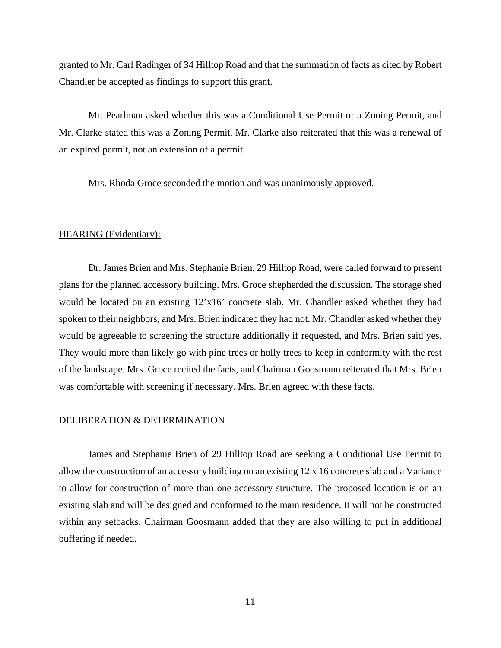granted to Mr. Carl Radinger of 34 Hilltop Road and that the summation of facts as cited by Robert Chandler be accepted as findings to support this grant.

Mr. Pearlman asked whether this was a Conditional Use Permit or a Zoning Permit, and Mr. Clarke stated this was a Zoning Permit. Mr. Clarke also reiterated that this was a renewal of an expired permit, not an extension of a permit.

Mrs. Rhoda Groce seconded the motion and was unanimously approved.

## HEARING (Evidentiary):

Dr. James Brien and Mrs. Stephanie Brien, 29 Hilltop Road, were called forward to present plans for the planned accessory building. Mrs. Groce shepherded the discussion. The storage shed would be located on an existing 12'x16' concrete slab. Mr. Chandler asked whether they had spoken to their neighbors, and Mrs. Brien indicated they had not. Mr. Chandler asked whether they would be agreeable to screening the structure additionally if requested, and Mrs. Brien said yes. They would more than likely go with pine trees or holly trees to keep in conformity with the rest of the landscape. Mrs. Groce recited the facts, and Chairman Goosmann reiterated that Mrs. Brien was comfortable with screening if necessary. Mrs. Brien agreed with these facts.

# DELIBERATION & DETERMINATION

James and Stephanie Brien of 29 Hilltop Road are seeking a Conditional Use Permit to allow the construction of an accessory building on an existing 12 x 16 concrete slab and a Variance to allow for construction of more than one accessory structure. The proposed location is on an existing slab and will be designed and conformed to the main residence. It will not be constructed within any setbacks. Chairman Goosmann added that they are also willing to put in additional buffering if needed.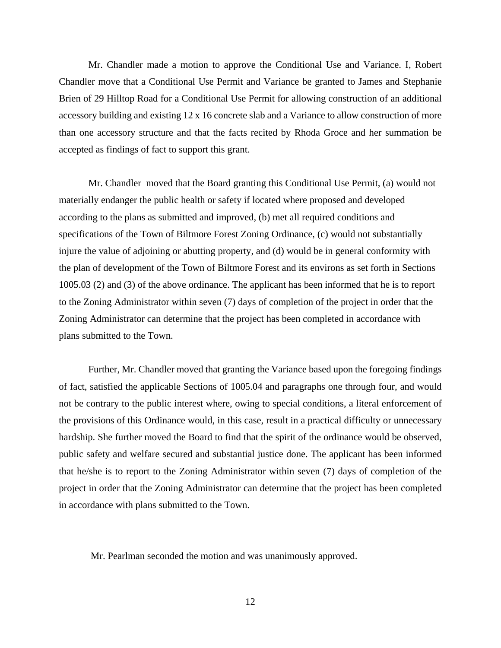Mr. Chandler made a motion to approve the Conditional Use and Variance. I, Robert Chandler move that a Conditional Use Permit and Variance be granted to James and Stephanie Brien of 29 Hilltop Road for a Conditional Use Permit for allowing construction of an additional accessory building and existing 12 x 16 concrete slab and a Variance to allow construction of more than one accessory structure and that the facts recited by Rhoda Groce and her summation be accepted as findings of fact to support this grant.

Mr. Chandler moved that the Board granting this Conditional Use Permit, (a) would not materially endanger the public health or safety if located where proposed and developed according to the plans as submitted and improved, (b) met all required conditions and specifications of the Town of Biltmore Forest Zoning Ordinance, (c) would not substantially injure the value of adjoining or abutting property, and (d) would be in general conformity with the plan of development of the Town of Biltmore Forest and its environs as set forth in Sections 1005.03 (2) and (3) of the above ordinance. The applicant has been informed that he is to report to the Zoning Administrator within seven (7) days of completion of the project in order that the Zoning Administrator can determine that the project has been completed in accordance with plans submitted to the Town.

Further, Mr. Chandler moved that granting the Variance based upon the foregoing findings of fact, satisfied the applicable Sections of 1005.04 and paragraphs one through four, and would not be contrary to the public interest where, owing to special conditions, a literal enforcement of the provisions of this Ordinance would, in this case, result in a practical difficulty or unnecessary hardship. She further moved the Board to find that the spirit of the ordinance would be observed, public safety and welfare secured and substantial justice done. The applicant has been informed that he/she is to report to the Zoning Administrator within seven (7) days of completion of the project in order that the Zoning Administrator can determine that the project has been completed in accordance with plans submitted to the Town.

Mr. Pearlman seconded the motion and was unanimously approved.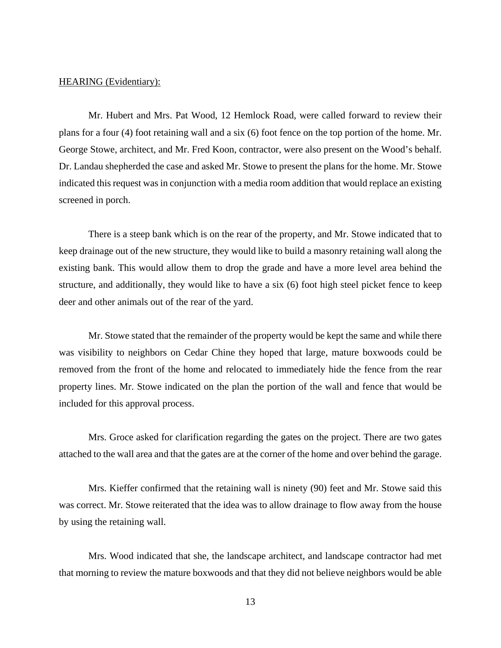Mr. Hubert and Mrs. Pat Wood, 12 Hemlock Road, were called forward to review their plans for a four (4) foot retaining wall and a six (6) foot fence on the top portion of the home. Mr. George Stowe, architect, and Mr. Fred Koon, contractor, were also present on the Wood's behalf. Dr. Landau shepherded the case and asked Mr. Stowe to present the plans for the home. Mr. Stowe indicated this request was in conjunction with a media room addition that would replace an existing screened in porch.

There is a steep bank which is on the rear of the property, and Mr. Stowe indicated that to keep drainage out of the new structure, they would like to build a masonry retaining wall along the existing bank. This would allow them to drop the grade and have a more level area behind the structure, and additionally, they would like to have a six (6) foot high steel picket fence to keep deer and other animals out of the rear of the yard.

Mr. Stowe stated that the remainder of the property would be kept the same and while there was visibility to neighbors on Cedar Chine they hoped that large, mature boxwoods could be removed from the front of the home and relocated to immediately hide the fence from the rear property lines. Mr. Stowe indicated on the plan the portion of the wall and fence that would be included for this approval process.

Mrs. Groce asked for clarification regarding the gates on the project. There are two gates attached to the wall area and that the gates are at the corner of the home and over behind the garage.

Mrs. Kieffer confirmed that the retaining wall is ninety (90) feet and Mr. Stowe said this was correct. Mr. Stowe reiterated that the idea was to allow drainage to flow away from the house by using the retaining wall.

Mrs. Wood indicated that she, the landscape architect, and landscape contractor had met that morning to review the mature boxwoods and that they did not believe neighbors would be able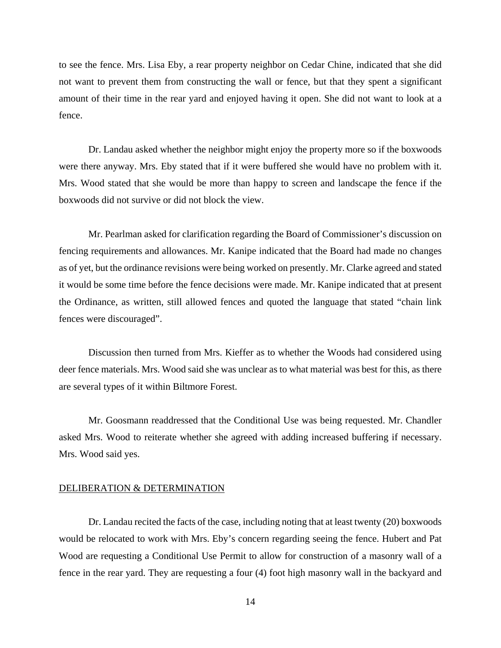to see the fence. Mrs. Lisa Eby, a rear property neighbor on Cedar Chine, indicated that she did not want to prevent them from constructing the wall or fence, but that they spent a significant amount of their time in the rear yard and enjoyed having it open. She did not want to look at a fence.

Dr. Landau asked whether the neighbor might enjoy the property more so if the boxwoods were there anyway. Mrs. Eby stated that if it were buffered she would have no problem with it. Mrs. Wood stated that she would be more than happy to screen and landscape the fence if the boxwoods did not survive or did not block the view.

Mr. Pearlman asked for clarification regarding the Board of Commissioner's discussion on fencing requirements and allowances. Mr. Kanipe indicated that the Board had made no changes as of yet, but the ordinance revisions were being worked on presently. Mr. Clarke agreed and stated it would be some time before the fence decisions were made. Mr. Kanipe indicated that at present the Ordinance, as written, still allowed fences and quoted the language that stated "chain link fences were discouraged".

Discussion then turned from Mrs. Kieffer as to whether the Woods had considered using deer fence materials. Mrs. Wood said she was unclear as to what material was best for this, as there are several types of it within Biltmore Forest.

Mr. Goosmann readdressed that the Conditional Use was being requested. Mr. Chandler asked Mrs. Wood to reiterate whether she agreed with adding increased buffering if necessary. Mrs. Wood said yes.

#### DELIBERATION & DETERMINATION

Dr. Landau recited the facts of the case, including noting that at least twenty (20) boxwoods would be relocated to work with Mrs. Eby's concern regarding seeing the fence. Hubert and Pat Wood are requesting a Conditional Use Permit to allow for construction of a masonry wall of a fence in the rear yard. They are requesting a four (4) foot high masonry wall in the backyard and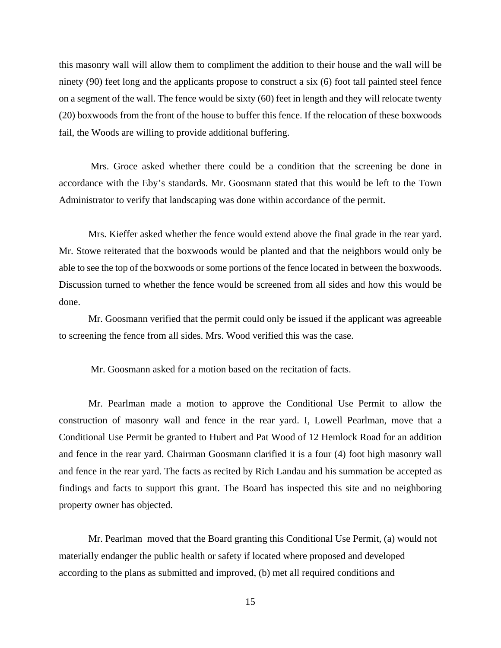this masonry wall will allow them to compliment the addition to their house and the wall will be ninety (90) feet long and the applicants propose to construct a six (6) foot tall painted steel fence on a segment of the wall. The fence would be sixty (60) feet in length and they will relocate twenty (20) boxwoods from the front of the house to buffer this fence. If the relocation of these boxwoods fail, the Woods are willing to provide additional buffering.

 Mrs. Groce asked whether there could be a condition that the screening be done in accordance with the Eby's standards. Mr. Goosmann stated that this would be left to the Town Administrator to verify that landscaping was done within accordance of the permit.

Mrs. Kieffer asked whether the fence would extend above the final grade in the rear yard. Mr. Stowe reiterated that the boxwoods would be planted and that the neighbors would only be able to see the top of the boxwoods or some portions of the fence located in between the boxwoods. Discussion turned to whether the fence would be screened from all sides and how this would be done.

Mr. Goosmann verified that the permit could only be issued if the applicant was agreeable to screening the fence from all sides. Mrs. Wood verified this was the case.

Mr. Goosmann asked for a motion based on the recitation of facts.

Mr. Pearlman made a motion to approve the Conditional Use Permit to allow the construction of masonry wall and fence in the rear yard. I, Lowell Pearlman, move that a Conditional Use Permit be granted to Hubert and Pat Wood of 12 Hemlock Road for an addition and fence in the rear yard. Chairman Goosmann clarified it is a four (4) foot high masonry wall and fence in the rear yard. The facts as recited by Rich Landau and his summation be accepted as findings and facts to support this grant. The Board has inspected this site and no neighboring property owner has objected.

Mr. Pearlman moved that the Board granting this Conditional Use Permit, (a) would not materially endanger the public health or safety if located where proposed and developed according to the plans as submitted and improved, (b) met all required conditions and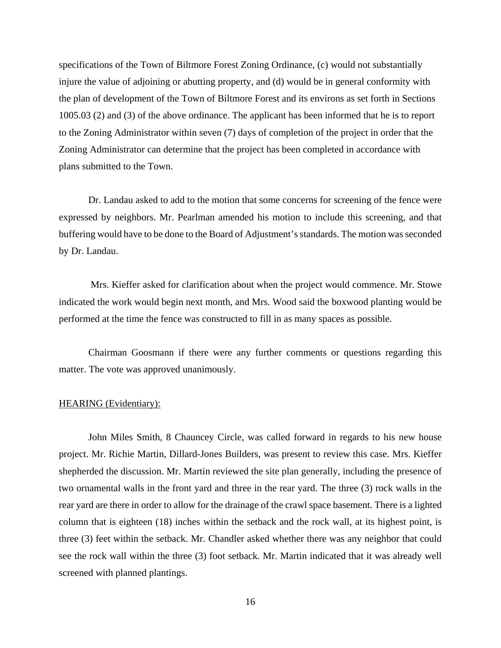specifications of the Town of Biltmore Forest Zoning Ordinance, (c) would not substantially injure the value of adjoining or abutting property, and (d) would be in general conformity with the plan of development of the Town of Biltmore Forest and its environs as set forth in Sections 1005.03 (2) and (3) of the above ordinance. The applicant has been informed that he is to report to the Zoning Administrator within seven (7) days of completion of the project in order that the Zoning Administrator can determine that the project has been completed in accordance with plans submitted to the Town.

Dr. Landau asked to add to the motion that some concerns for screening of the fence were expressed by neighbors. Mr. Pearlman amended his motion to include this screening, and that buffering would have to be done to the Board of Adjustment's standards. The motion was seconded by Dr. Landau.

 Mrs. Kieffer asked for clarification about when the project would commence. Mr. Stowe indicated the work would begin next month, and Mrs. Wood said the boxwood planting would be performed at the time the fence was constructed to fill in as many spaces as possible.

Chairman Goosmann if there were any further comments or questions regarding this matter. The vote was approved unanimously.

#### HEARING (Evidentiary):

 John Miles Smith, 8 Chauncey Circle, was called forward in regards to his new house project. Mr. Richie Martin, Dillard-Jones Builders, was present to review this case. Mrs. Kieffer shepherded the discussion. Mr. Martin reviewed the site plan generally, including the presence of two ornamental walls in the front yard and three in the rear yard. The three (3) rock walls in the rear yard are there in order to allow for the drainage of the crawl space basement. There is a lighted column that is eighteen (18) inches within the setback and the rock wall, at its highest point, is three (3) feet within the setback. Mr. Chandler asked whether there was any neighbor that could see the rock wall within the three (3) foot setback. Mr. Martin indicated that it was already well screened with planned plantings.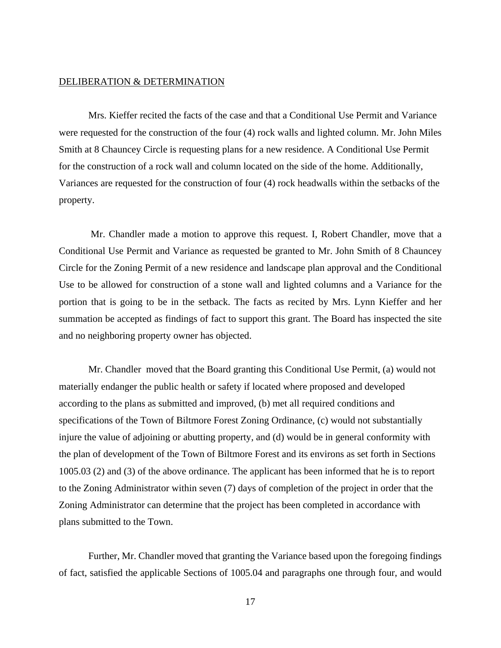# DELIBERATION & DETERMINATION

Mrs. Kieffer recited the facts of the case and that a Conditional Use Permit and Variance were requested for the construction of the four (4) rock walls and lighted column. Mr. John Miles Smith at 8 Chauncey Circle is requesting plans for a new residence. A Conditional Use Permit for the construction of a rock wall and column located on the side of the home. Additionally, Variances are requested for the construction of four (4) rock headwalls within the setbacks of the property.

 Mr. Chandler made a motion to approve this request. I, Robert Chandler, move that a Conditional Use Permit and Variance as requested be granted to Mr. John Smith of 8 Chauncey Circle for the Zoning Permit of a new residence and landscape plan approval and the Conditional Use to be allowed for construction of a stone wall and lighted columns and a Variance for the portion that is going to be in the setback. The facts as recited by Mrs. Lynn Kieffer and her summation be accepted as findings of fact to support this grant. The Board has inspected the site and no neighboring property owner has objected.

Mr. Chandler moved that the Board granting this Conditional Use Permit, (a) would not materially endanger the public health or safety if located where proposed and developed according to the plans as submitted and improved, (b) met all required conditions and specifications of the Town of Biltmore Forest Zoning Ordinance, (c) would not substantially injure the value of adjoining or abutting property, and (d) would be in general conformity with the plan of development of the Town of Biltmore Forest and its environs as set forth in Sections 1005.03 (2) and (3) of the above ordinance. The applicant has been informed that he is to report to the Zoning Administrator within seven (7) days of completion of the project in order that the Zoning Administrator can determine that the project has been completed in accordance with plans submitted to the Town.

Further, Mr. Chandler moved that granting the Variance based upon the foregoing findings of fact, satisfied the applicable Sections of 1005.04 and paragraphs one through four, and would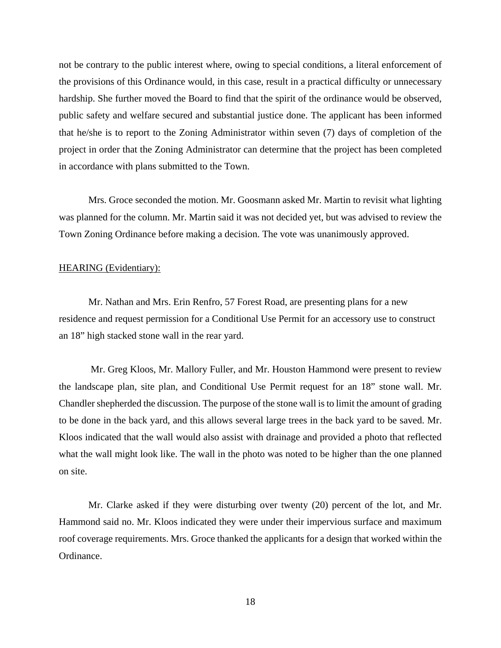not be contrary to the public interest where, owing to special conditions, a literal enforcement of the provisions of this Ordinance would, in this case, result in a practical difficulty or unnecessary hardship. She further moved the Board to find that the spirit of the ordinance would be observed, public safety and welfare secured and substantial justice done. The applicant has been informed that he/she is to report to the Zoning Administrator within seven (7) days of completion of the project in order that the Zoning Administrator can determine that the project has been completed in accordance with plans submitted to the Town.

Mrs. Groce seconded the motion. Mr. Goosmann asked Mr. Martin to revisit what lighting was planned for the column. Mr. Martin said it was not decided yet, but was advised to review the Town Zoning Ordinance before making a decision. The vote was unanimously approved.

# HEARING (Evidentiary):

Mr. Nathan and Mrs. Erin Renfro, 57 Forest Road, are presenting plans for a new residence and request permission for a Conditional Use Permit for an accessory use to construct an 18" high stacked stone wall in the rear yard.

 Mr. Greg Kloos, Mr. Mallory Fuller, and Mr. Houston Hammond were present to review the landscape plan, site plan, and Conditional Use Permit request for an 18" stone wall. Mr. Chandler shepherded the discussion. The purpose of the stone wall is to limit the amount of grading to be done in the back yard, and this allows several large trees in the back yard to be saved. Mr. Kloos indicated that the wall would also assist with drainage and provided a photo that reflected what the wall might look like. The wall in the photo was noted to be higher than the one planned on site.

Mr. Clarke asked if they were disturbing over twenty (20) percent of the lot, and Mr. Hammond said no. Mr. Kloos indicated they were under their impervious surface and maximum roof coverage requirements. Mrs. Groce thanked the applicants for a design that worked within the Ordinance.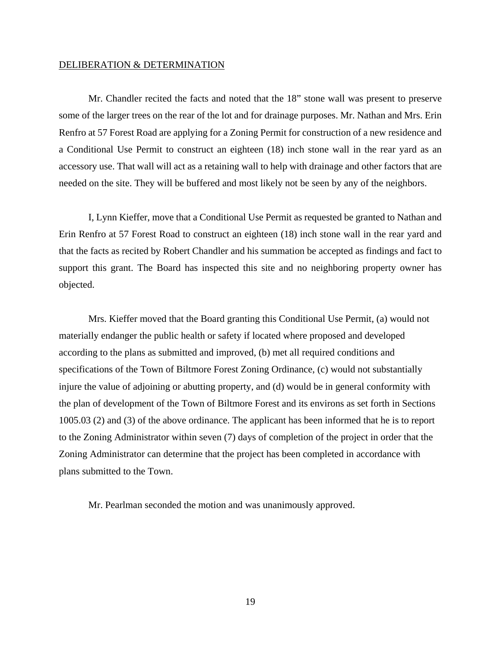# DELIBERATION & DETERMINATION

Mr. Chandler recited the facts and noted that the 18" stone wall was present to preserve some of the larger trees on the rear of the lot and for drainage purposes. Mr. Nathan and Mrs. Erin Renfro at 57 Forest Road are applying for a Zoning Permit for construction of a new residence and a Conditional Use Permit to construct an eighteen (18) inch stone wall in the rear yard as an accessory use. That wall will act as a retaining wall to help with drainage and other factors that are needed on the site. They will be buffered and most likely not be seen by any of the neighbors.

I, Lynn Kieffer, move that a Conditional Use Permit as requested be granted to Nathan and Erin Renfro at 57 Forest Road to construct an eighteen (18) inch stone wall in the rear yard and that the facts as recited by Robert Chandler and his summation be accepted as findings and fact to support this grant. The Board has inspected this site and no neighboring property owner has objected.

Mrs. Kieffer moved that the Board granting this Conditional Use Permit, (a) would not materially endanger the public health or safety if located where proposed and developed according to the plans as submitted and improved, (b) met all required conditions and specifications of the Town of Biltmore Forest Zoning Ordinance, (c) would not substantially injure the value of adjoining or abutting property, and (d) would be in general conformity with the plan of development of the Town of Biltmore Forest and its environs as set forth in Sections 1005.03 (2) and (3) of the above ordinance. The applicant has been informed that he is to report to the Zoning Administrator within seven (7) days of completion of the project in order that the Zoning Administrator can determine that the project has been completed in accordance with plans submitted to the Town.

Mr. Pearlman seconded the motion and was unanimously approved.

19